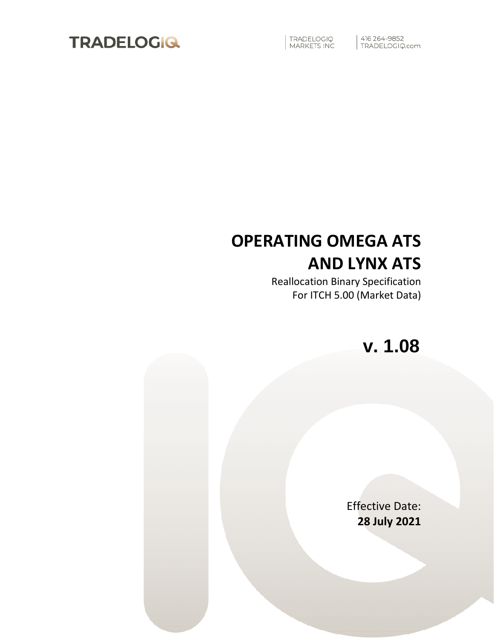TRADELOGIQ<br>MARKETS INC

416 264-9852 TRADELOGIQ.com

## **TRADELOGIQ**

# **OPERATING OMEGA ATS AND LYNX ATS**

Reallocation Binary Specification For ITCH 5.00 (Market Data)

**v. 1.08**

Effective Date: **28 July 2021**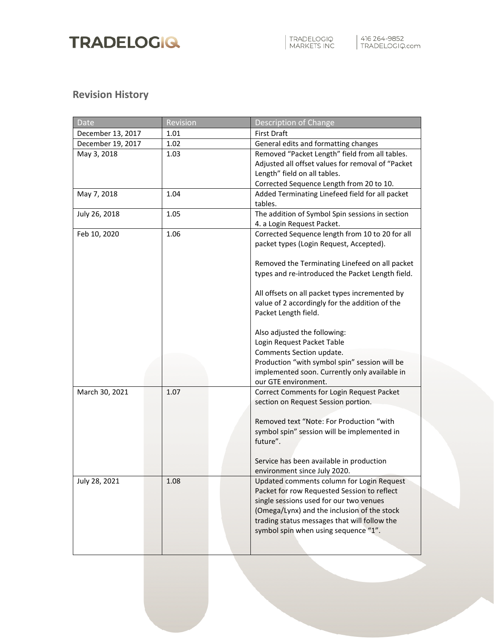### **Revision History**

| Date              | Revision | <b>Description of Change</b>                                                                     |  |
|-------------------|----------|--------------------------------------------------------------------------------------------------|--|
| December 13, 2017 | 1.01     | <b>First Draft</b>                                                                               |  |
| December 19, 2017 | 1.02     | General edits and formatting changes                                                             |  |
| May 3, 2018       | 1.03     | Removed "Packet Length" field from all tables.                                                   |  |
|                   |          | Adjusted all offset values for removal of "Packet                                                |  |
|                   |          | Length" field on all tables.                                                                     |  |
|                   |          | Corrected Sequence Length from 20 to 10.                                                         |  |
| May 7, 2018       | 1.04     | Added Terminating Linefeed field for all packet                                                  |  |
|                   |          | tables.                                                                                          |  |
| July 26, 2018     | 1.05     | The addition of Symbol Spin sessions in section                                                  |  |
|                   |          | 4. a Login Request Packet.                                                                       |  |
| Feb 10, 2020      | 1.06     | Corrected Sequence length from 10 to 20 for all                                                  |  |
|                   |          | packet types (Login Request, Accepted).                                                          |  |
|                   |          |                                                                                                  |  |
|                   |          | Removed the Terminating Linefeed on all packet                                                   |  |
|                   |          | types and re-introduced the Packet Length field.                                                 |  |
|                   |          |                                                                                                  |  |
|                   |          | All offsets on all packet types incremented by<br>value of 2 accordingly for the addition of the |  |
|                   |          |                                                                                                  |  |
|                   |          | Packet Length field.                                                                             |  |
|                   |          | Also adjusted the following:                                                                     |  |
|                   |          | Login Request Packet Table                                                                       |  |
|                   |          | Comments Section update.                                                                         |  |
|                   |          | Production "with symbol spin" session will be                                                    |  |
|                   |          | implemented soon. Currently only available in                                                    |  |
|                   |          | our GTE environment.                                                                             |  |
| March 30, 2021    | 1.07     | Correct Comments for Login Request Packet                                                        |  |
|                   |          | section on Request Session portion.                                                              |  |
|                   |          |                                                                                                  |  |
|                   |          | Removed text "Note: For Production "with                                                         |  |
|                   |          | symbol spin" session will be implemented in                                                      |  |
|                   |          | future".                                                                                         |  |
|                   |          |                                                                                                  |  |
|                   |          | Service has been available in production                                                         |  |
|                   |          | environment since July 2020.                                                                     |  |
| July 28, 2021     | 1.08     | Updated comments column for Login Request                                                        |  |
|                   |          | Packet for row Requested Session to reflect                                                      |  |
|                   |          | single sessions used for our two venues                                                          |  |
|                   |          | (Omega/Lynx) and the inclusion of the stock                                                      |  |
|                   |          | trading status messages that will follow the                                                     |  |
|                   |          | symbol spin when using sequence "1".                                                             |  |
|                   |          |                                                                                                  |  |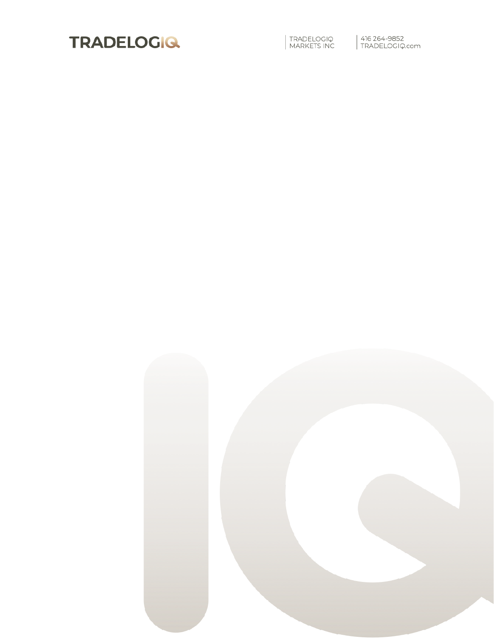TRADELOGIQ<br>MARKETS INC

| 416 264-9852<br>| TRADELOGIQ.com

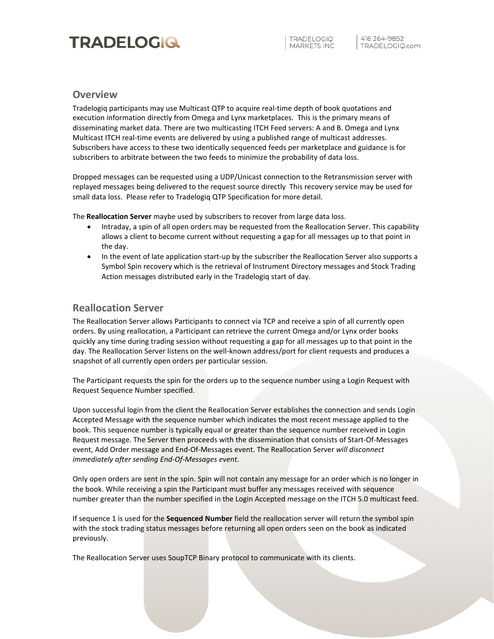#### **Overview**

Tradelogiq participants may use Multicast QTP to acquire real-time depth of book quotations and execution information directly from Omega and Lynx marketplaces. This is the primary means of disseminating market data. There are two multicasting ITCH Feed servers: A and B. Omega and Lynx Multicast ITCH real-time events are delivered by using a published range of multicast addresses. Subscribers have access to these two identically sequenced feeds per marketplace and guidance is for subscribers to arbitrate between the two feeds to minimize the probability of data loss.

Dropped messages can be requested using a UDP/Unicast connection to the Retransmission server with replayed messages being delivered to the request source directly This recovery service may be used for small data loss. Please refer to Tradelogiq QTP Specification for more detail.

The **Reallocation Server** maybe used by subscribers to recover from large data loss.

- Intraday, a spin of all open orders may be requested from the Reallocation Server. This capability allows a client to become current without requesting a gap for all messages up to that point in the day.
- In the event of late application start-up by the subscriber the Reallocation Server also supports a Symbol Spin recovery which is the retrieval of Instrument Directory messages and Stock Trading Action messages distributed early in the Tradelogiq start of day.

### **Reallocation Server**

The Reallocation Server allows Participants to connect via TCP and receive a spin of all currently open orders. By using reallocation, a Participant can retrieve the current Omega and/or Lynx order books quickly any time during trading session without requesting a gap for all messages up to that point in the day. The Reallocation Server listens on the well-known address/port for client requests and produces a snapshot of all currently open orders per particular session.

The Participant requests the spin for the orders up to the sequence number using a Login Request with Request Sequence Number specified.

Upon successful login from the client the Reallocation Server establishes the connection and sends Login Accepted Message with the sequence number which indicates the most recent message applied to the book. This sequence number is typically equal or greater than the sequence number received in Login Request message. The Server then proceeds with the dissemination that consists of Start-Of-Messages event, Add Order message and End-Of-Messages event. The Reallocation Server *will disconnect immediately after sending End-Of-Messages event*.

Only open orders are sent in the spin. Spin will not contain any message for an order which is no longer in the book. While receiving a spin the Participant must buffer any messages received with sequence number greater than the number specified in the Login Accepted message on the ITCH 5.0 multicast feed.

If sequence 1 is used for the **Sequenced Number** field the reallocation server will return the symbol spin with the stock trading status messages before returning all open orders seen on the book as indicated previously.

The Reallocation Server uses SoupTCP Binary protocol to communicate with its clients.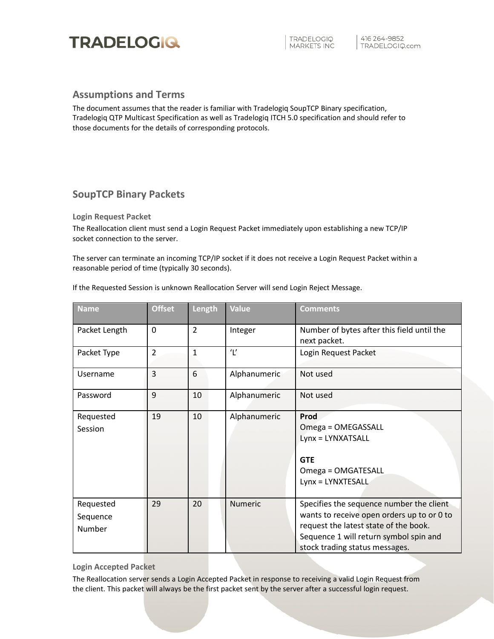### **Assumptions and Terms**

The document assumes that the reader is familiar with Tradelogiq SoupTCP Binary specification, Tradelogiq QTP Multicast Specification as well as Tradelogiq ITCH 5.0 specification and should refer to those documents for the details of corresponding protocols.

### **SoupTCP Binary Packets**

**Login Request Packet**

The Reallocation client must send a Login Request Packet immediately upon establishing a new TCP/IP socket connection to the server.

The server can terminate an incoming TCP/IP socket if it does not receive a Login Request Packet within a reasonable period of time (typically 30 seconds).

If the Requested Session is unknown Reallocation Server will send Login Reject Message.

| <b>Name</b>                     | <b>Offset</b>  | Length         | <b>Value</b>   | <b>Comments</b>                                                                                                                                                                                             |
|---------------------------------|----------------|----------------|----------------|-------------------------------------------------------------------------------------------------------------------------------------------------------------------------------------------------------------|
| Packet Length                   | $\mathbf 0$    | $\overline{2}$ | Integer        | Number of bytes after this field until the<br>next packet.                                                                                                                                                  |
| Packet Type                     | $\overline{2}$ | $\mathbf{1}$   | $^{\prime}$    | Login Request Packet                                                                                                                                                                                        |
| Username                        | $\overline{3}$ | 6              | Alphanumeric   | Not used                                                                                                                                                                                                    |
| Password                        | 9              | 10             | Alphanumeric   | Not used                                                                                                                                                                                                    |
| Requested<br>Session            | 19             | 10             | Alphanumeric   | Prod<br>Omega = OMEGASSALL<br>Lynx = LYNXATSALL<br><b>GTE</b><br>Omega = OMGATESALL<br>Lynx = LYNXTESALL                                                                                                    |
| Requested<br>Sequence<br>Number | 29             | 20             | <b>Numeric</b> | Specifies the sequence number the client<br>wants to receive open orders up to or 0 to<br>request the latest state of the book.<br>Sequence 1 will return symbol spin and<br>stock trading status messages. |

**Login Accepted Packet**

The Reallocation server sends a Login Accepted Packet in response to receiving a valid Login Request from the client. This packet will always be the first packet sent by the server after a successful login request.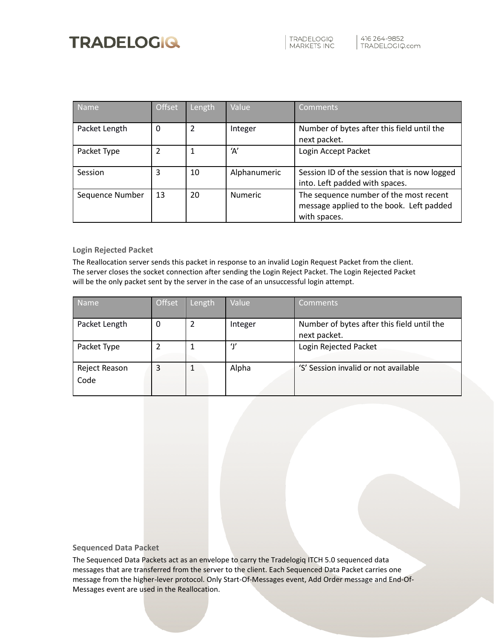| <b>Name</b>     | <b>Offset</b> | Length | Value          | <b>Comments</b>                                                                                    |
|-----------------|---------------|--------|----------------|----------------------------------------------------------------------------------------------------|
| Packet Length   | 0             |        | Integer        | Number of bytes after this field until the<br>next packet.                                         |
| Packet Type     | 2             |        | Ά,             | Login Accept Packet                                                                                |
| Session         | 3             | 10     | Alphanumeric   | Session ID of the session that is now logged<br>into. Left padded with spaces.                     |
| Sequence Number | 13            | 20     | <b>Numeric</b> | The sequence number of the most recent<br>message applied to the book. Left padded<br>with spaces. |

#### **Login Rejected Packet**

The Reallocation server sends this packet in response to an invalid Login Request Packet from the client. The server closes the socket connection after sending the Login Reject Packet. The Login Rejected Packet will be the only packet sent by the server in the case of an unsuccessful login attempt.

| <b>Name</b>           | Offset | Length | Value       | Comments                                                   |
|-----------------------|--------|--------|-------------|------------------------------------------------------------|
| Packet Length         | 0      |        | Integer     | Number of bytes after this field until the<br>next packet. |
| Packet Type           | 2      |        | $^{\prime}$ | Login Rejected Packet                                      |
| Reject Reason<br>Code | 3      |        | Alpha       | 'S' Session invalid or not available                       |

#### **Sequenced Data Packet**

The Sequenced Data Packets act as an envelope to carry the Tradelogiq ITCH 5.0 sequenced data messages that are transferred from the server to the client. Each Sequenced Data Packet carries one message from the higher-lever protocol. Only Start-Of-Messages event, Add Order message and End-Of-Messages event are used in the Reallocation.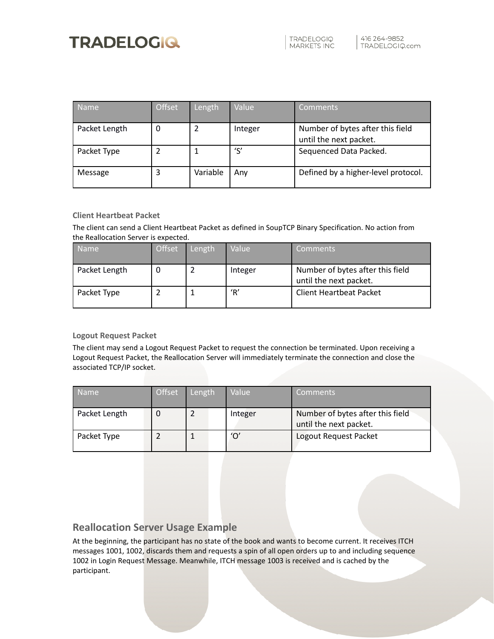| <b>Name</b>   | Offset | Length   | Value   | Comments                                                   |
|---------------|--------|----------|---------|------------------------------------------------------------|
| Packet Length |        |          | Integer | Number of bytes after this field<br>until the next packet. |
| Packet Type   |        |          | 'S'     | Sequenced Data Packed.                                     |
| Message       |        | Variable | Any     | Defined by a higher-level protocol.                        |

#### **Client Heartbeat Packet**

The client can send a Client Heartbeat Packet as defined in SoupTCP Binary Specification. No action from the Reallocation Server is expected.

| <b>Name</b>   | <b>Offset</b> | Length | Value   | <b>Comments</b>                                            |
|---------------|---------------|--------|---------|------------------------------------------------------------|
| Packet Length |               |        | Integer | Number of bytes after this field<br>until the next packet. |
| Packet Type   |               |        | 'R'     | <b>Client Heartbeat Packet</b>                             |

#### **Logout Request Packet**

The client may send a Logout Request Packet to request the connection be terminated. Upon receiving a Logout Request Packet, the Reallocation Server will immediately terminate the connection and close the associated TCP/IP socket.

| <b>Name</b>   | <b>Offset</b> | Length | Value   | Comments                                                   |
|---------------|---------------|--------|---------|------------------------------------------------------------|
| Packet Length |               |        | Integer | Number of bytes after this field<br>until the next packet. |
| Packet Type   |               |        | 'O'     | Logout Request Packet                                      |

### **Reallocation Server Usage Example**

At the beginning, the participant has no state of the book and wants to become current. It receives ITCH messages 1001, 1002, discards them and requests a spin of all open orders up to and including sequence 1002 in Login Request Message. Meanwhile, ITCH message 1003 is received and is cached by the participant.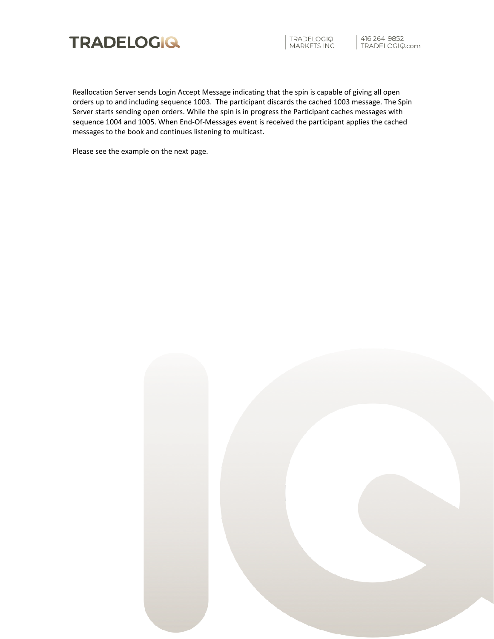

**TRADELOGIQ** MARKETS INC

Reallocation Server sends Login Accept Message indicating that the spin is capable of giving all open orders up to and including sequence 1003. The participant discards the cached 1003 message. The Spin Server starts sending open orders. While the spin is in progress the Participant caches messages with sequence 1004 and 1005. When End-Of-Messages event is received the participant applies the cached messages to the book and continues listening to multicast.

Please see the example on the next page.